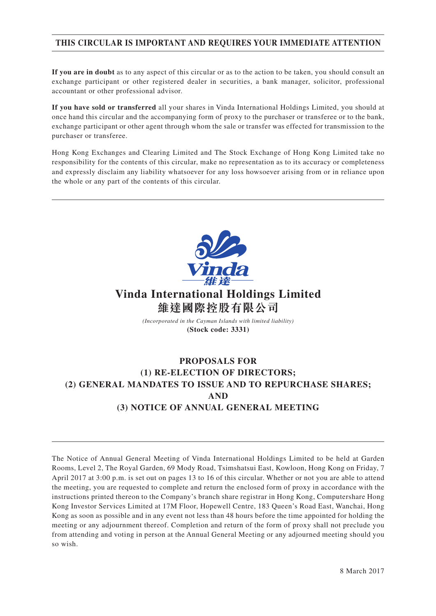## **THIS CIRCULAR IS IMPORTANT AND REQUIRES YOUR IMMEDIATE ATTENTION**

**If you are in doubt** as to any aspect of this circular or as to the action to be taken, you should consult an exchange participant or other registered dealer in securities, a bank manager, solicitor, professional accountant or other professional advisor.

**If you have sold or transferred** all your shares in Vinda International Holdings Limited, you should at once hand this circular and the accompanying form of proxy to the purchaser or transferee or to the bank, exchange participant or other agent through whom the sale or transfer was effected for transmission to the purchaser or transferee.

Hong Kong Exchanges and Clearing Limited and The Stock Exchange of Hong Kong Limited take no responsibility for the contents of this circular, make no representation as to its accuracy or completeness and expressly disclaim any liability whatsoever for any loss howsoever arising from or in reliance upon the whole or any part of the contents of this circular.



# **Vinda International Holdings Limited 維達國際控股有限公司**

*(Incorporated in the Cayman Islands with limited liability)* **(Stock code: 3331)**

## **PROPOSALS FOR (1) RE-ELECTION OF DIRECTORS; (2) GENERAL MANDATES TO ISSUE AND TO REPURCHASE SHARES; AND (3) NOTICE OF ANNUAL GENERAL MEETING**

The Notice of Annual General Meeting of Vinda International Holdings Limited to be held at Garden Rooms, Level 2, The Royal Garden, 69 Mody Road, Tsimshatsui East, Kowloon, Hong Kong on Friday, 7 April 2017 at 3:00 p.m. is set out on pages 13 to 16 of this circular. Whether or not you are able to attend the meeting, you are requested to complete and return the enclosed form of proxy in accordance with the instructions printed thereon to the Company's branch share registrar in Hong Kong, Computershare Hong Kong Investor Services Limited at 17M Floor, Hopewell Centre, 183 Queen's Road East, Wanchai, Hong Kong as soon as possible and in any event not less than 48 hours before the time appointed for holding the meeting or any adjournment thereof. Completion and return of the form of proxy shall not preclude you from attending and voting in person at the Annual General Meeting or any adjourned meeting should you so wish.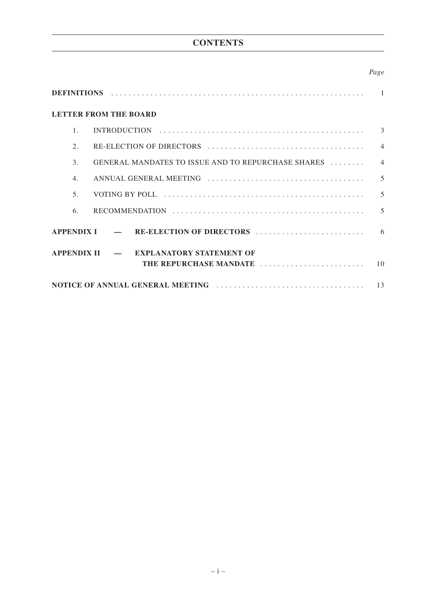## **CONTENTS**

## *Page*

| <b>LETTER FROM THE BOARD</b> |  |  |                                                    |                |
|------------------------------|--|--|----------------------------------------------------|----------------|
| $\mathbf{1}$                 |  |  |                                                    | $\mathcal{E}$  |
| $\mathcal{L}$                |  |  |                                                    | $\overline{4}$ |
| $\mathcal{E}$                |  |  | GENERAL MANDATES TO ISSUE AND TO REPURCHASE SHARES | $\Delta$       |
| $\overline{4}$ .             |  |  |                                                    | 5              |
| 5.                           |  |  |                                                    | 5              |
| 6.                           |  |  |                                                    | 5              |
| <b>APPENDIX I</b>            |  |  | RE-ELECTION OF DIRECTORS                           | 6              |
| <b>APPENDIX II</b>           |  |  | <b>EXPLANATORY STATEMENT OF</b>                    |                |
|                              |  |  | THE REPURCHASE MANDATE                             | 10             |
|                              |  |  |                                                    | 13             |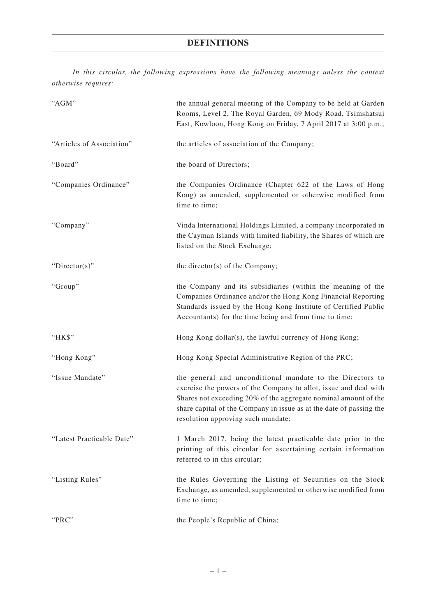*In this circular, the following expressions have the following meanings unless the context otherwise requires:*

| "AGM"                     | the annual general meeting of the Company to be held at Garden<br>Rooms, Level 2, The Royal Garden, 69 Mody Road, Tsimshatsui<br>East, Kowloon, Hong Kong on Friday, 7 April 2017 at 3:00 p.m.;                                                                                                               |
|---------------------------|---------------------------------------------------------------------------------------------------------------------------------------------------------------------------------------------------------------------------------------------------------------------------------------------------------------|
| "Articles of Association" | the articles of association of the Company;                                                                                                                                                                                                                                                                   |
| "Board"                   | the board of Directors;                                                                                                                                                                                                                                                                                       |
| "Companies Ordinance"     | the Companies Ordinance (Chapter 622 of the Laws of Hong<br>Kong) as amended, supplemented or otherwise modified from<br>time to time;                                                                                                                                                                        |
| "Company"                 | Vinda International Holdings Limited, a company incorporated in<br>the Cayman Islands with limited liability, the Shares of which are<br>listed on the Stock Exchange;                                                                                                                                        |
| "Director(s)"             | the director(s) of the Company;                                                                                                                                                                                                                                                                               |
| "Group"                   | the Company and its subsidiaries (within the meaning of the<br>Companies Ordinance and/or the Hong Kong Financial Reporting<br>Standards issued by the Hong Kong Institute of Certified Public<br>Accountants) for the time being and from time to time;                                                      |
| "НК\$"                    | Hong Kong dollar(s), the lawful currency of Hong Kong;                                                                                                                                                                                                                                                        |
| "Hong Kong"               | Hong Kong Special Administrative Region of the PRC;                                                                                                                                                                                                                                                           |
| "Issue Mandate"           | the general and unconditional mandate to the Directors to<br>exercise the powers of the Company to allot, issue and deal with<br>Shares not exceeding 20% of the aggregate nominal amount of the<br>share capital of the Company in issue as at the date of passing the<br>resolution approving such mandate; |
| "Latest Practicable Date" | 1 March 2017, being the latest practicable date prior to the<br>printing of this circular for ascertaining certain information<br>referred to in this circular;                                                                                                                                               |
| "Listing Rules"           | the Rules Governing the Listing of Securities on the Stock<br>Exchange, as amended, supplemented or otherwise modified from<br>time to time;                                                                                                                                                                  |
| "PRC"                     | the People's Republic of China;                                                                                                                                                                                                                                                                               |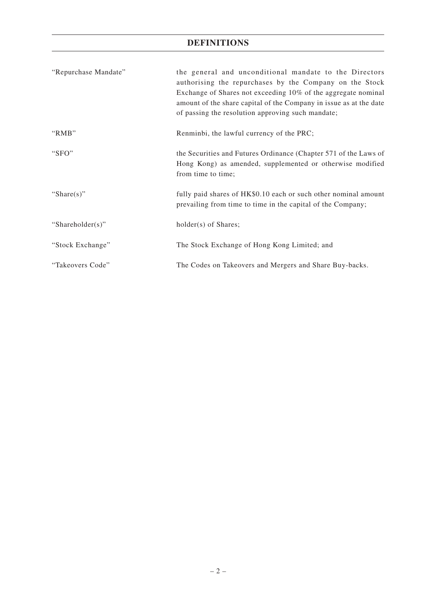## **DEFINITIONS**

| "Repurchase Mandate" | the general and unconditional mandate to the Directors<br>authorising the repurchases by the Company on the Stock<br>Exchange of Shares not exceeding 10% of the aggregate nominal<br>amount of the share capital of the Company in issue as at the date<br>of passing the resolution approving such mandate; |
|----------------------|---------------------------------------------------------------------------------------------------------------------------------------------------------------------------------------------------------------------------------------------------------------------------------------------------------------|
| "RMB"                | Renminbi, the lawful currency of the PRC;                                                                                                                                                                                                                                                                     |
| "SFO"                | the Securities and Futures Ordinance (Chapter 571 of the Laws of<br>Hong Kong) as amended, supplemented or otherwise modified<br>from time to time;                                                                                                                                                           |
| "Share $(s)$ "       | fully paid shares of HK\$0.10 each or such other nominal amount<br>prevailing from time to time in the capital of the Company;                                                                                                                                                                                |
| "Shareholder(s)"     | holder(s) of Shares;                                                                                                                                                                                                                                                                                          |
| "Stock Exchange"     | The Stock Exchange of Hong Kong Limited; and                                                                                                                                                                                                                                                                  |
| "Takeovers Code"     | The Codes on Takeovers and Mergers and Share Buy-backs.                                                                                                                                                                                                                                                       |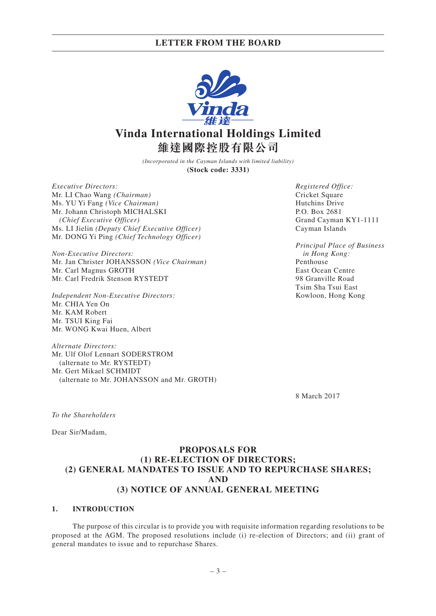

# **Vinda International Holdings Limited 維達國際控股有限公司**

*(Incorporated in the Cayman Islands with limited liability)* **(Stock code: 3331)**

*Executive Directors:* Mr. LI Chao Wang *(Chairman)* Ms. YU Yi Fang *(Vice Chairman)* Mr. Johann Christoph MICHALSKI *(Chief Executive Officer)* Ms. LI Jielin *(Deputy Chief Executive Officer)* Mr. DONG Yi Ping *(Chief Technology Officer)*

*Non-Executive Directors:* Mr. Jan Christer JOHANSSON *(Vice Chairman)* Mr. Carl Magnus GROTH Mr. Carl Fredrik Stenson RYSTEDT

*Independent Non-Executive Directors:* Mr. CHIA Yen On Mr. KAM Robert Mr. TSUI King Fai Mr. WONG Kwai Huen, Albert

*Alternate Directors:* Mr. Ulf Olof Lennart SODERSTROM (alternate to Mr. RYSTEDT) Mr. Gert Mikael SCHMIDT (alternate to Mr. JOHANSSON and Mr. GROTH) *Registered Office:* Cricket Square Hutchins Drive P.O. Box 2681 Grand Cayman KY1-1111 Cayman Islands

*Principal Place of Business in Hong Kong:* Penthouse East Ocean Centre 98 Granville Road Tsim Sha Tsui East Kowloon, Hong Kong

8 March 2017

*To the Shareholders*

Dear Sir/Madam,

## **PROPOSALS FOR (1) RE-ELECTION OF DIRECTORS; (2) GENERAL MANDATES TO ISSUE AND TO REPURCHASE SHARES; AND (3) NOTICE OF ANNUAL GENERAL MEETING**

#### **1. INTRODUCTION**

The purpose of this circular is to provide you with requisite information regarding resolutions to be proposed at the AGM. The proposed resolutions include (i) re-election of Directors; and (ii) grant of general mandates to issue and to repurchase Shares.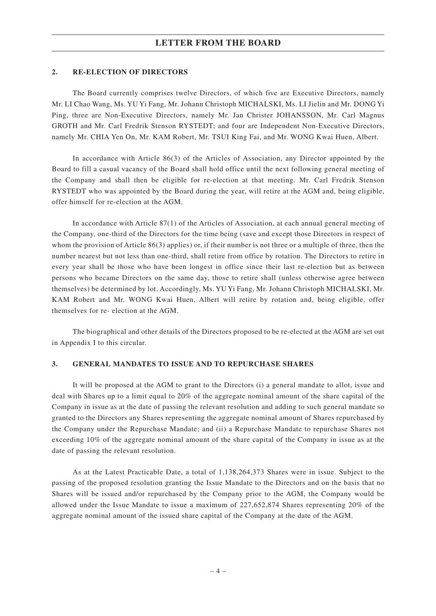#### **2. RE-ELECTION OF DIRECTORS**

The Board currently comprises twelve Directors, of which five are Executive Directors, namely Mr. LI Chao Wang, Ms. YU Yi Fang, Mr. Johann Christoph MICHALSKI, Ms. LI Jielin and Mr. DONG Yi Ping, three are Non-Executive Directors, namely Mr. Jan Christer JOHANSSON, Mr. Carl Magnus GROTH and Mr. Carl Fredrik Stenson RYSTEDT; and four are Independent Non-Executive Directors, namely Mr. CHIA Yen On, Mr. KAM Robert, Mr. TSUI King Fai, and Mr. WONG Kwai Huen, Albert.

In accordance with Article 86(3) of the Articles of Association, any Director appointed by the Board to fill a casual vacancy of the Board shall hold office until the next following general meeting of the Company and shall then be eligible for re-election at that meeting. Mr. Carl Fredrik Stenson RYSTEDT who was appointed by the Board during the year, will retire at the AGM and, being eligible, offer himself for re-election at the AGM.

In accordance with Article 87(1) of the Articles of Association, at each annual general meeting of the Company, one-third of the Directors for the time being (save and except those Directors in respect of whom the provision of Article 86(3) applies) or, if their number is not three or a multiple of three, then the number nearest but not less than one-third, shall retire from office by rotation. The Directors to retire in every year shall be those who have been longest in office since their last re-election but as between persons who became Directors on the same day, those to retire shall (unless otherwise agree between themselves) be determined by lot. Accordingly, Ms. YU Yi Fang, Mr. Johann Christoph MICHALSKI, Mr. KAM Robert and Mr. WONG Kwai Huen, Albert will retire by rotation and, being eligible, offer themselves for re- election at the AGM.

The biographical and other details of the Directors proposed to be re-elected at the AGM are set out in Appendix I to this circular.

#### **3. GENERAL MANDATES TO ISSUE AND TO REPURCHASE SHARES**

It will be proposed at the AGM to grant to the Directors (i) a general mandate to allot, issue and deal with Shares up to a limit equal to 20% of the aggregate nominal amount of the share capital of the Company in issue as at the date of passing the relevant resolution and adding to such general mandate so granted to the Directors any Shares representing the aggregate nominal amount of Shares repurchased by the Company under the Repurchase Mandate; and (ii) a Repurchase Mandate to repurchase Shares not exceeding 10% of the aggregate nominal amount of the share capital of the Company in issue as at the date of passing the relevant resolution.

As at the Latest Practicable Date, a total of 1,138,264,373 Shares were in issue. Subject to the passing of the proposed resolution granting the Issue Mandate to the Directors and on the basis that no Shares will be issued and/or repurchased by the Company prior to the AGM, the Company would be allowed under the Issue Mandate to issue a maximum of 227,652,874 Shares representing 20% of the aggregate nominal amount of the issued share capital of the Company at the date of the AGM.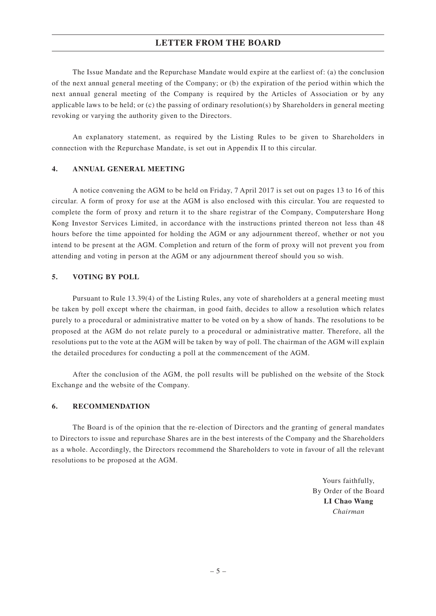### **LETTER FROM THE BOARD**

The Issue Mandate and the Repurchase Mandate would expire at the earliest of: (a) the conclusion of the next annual general meeting of the Company; or (b) the expiration of the period within which the next annual general meeting of the Company is required by the Articles of Association or by any applicable laws to be held; or (c) the passing of ordinary resolution(s) by Shareholders in general meeting revoking or varying the authority given to the Directors.

An explanatory statement, as required by the Listing Rules to be given to Shareholders in connection with the Repurchase Mandate, is set out in Appendix II to this circular.

#### **4. ANNUAL GENERAL MEETING**

A notice convening the AGM to be held on Friday, 7 April 2017 is set out on pages 13 to 16 of this circular. A form of proxy for use at the AGM is also enclosed with this circular. You are requested to complete the form of proxy and return it to the share registrar of the Company, Computershare Hong Kong Investor Services Limited, in accordance with the instructions printed thereon not less than 48 hours before the time appointed for holding the AGM or any adjournment thereof, whether or not you intend to be present at the AGM. Completion and return of the form of proxy will not prevent you from attending and voting in person at the AGM or any adjournment thereof should you so wish.

#### **5. VOTING BY POLL**

Pursuant to Rule 13.39(4) of the Listing Rules, any vote of shareholders at a general meeting must be taken by poll except where the chairman, in good faith, decides to allow a resolution which relates purely to a procedural or administrative matter to be voted on by a show of hands. The resolutions to be proposed at the AGM do not relate purely to a procedural or administrative matter. Therefore, all the resolutions put to the vote at the AGM will be taken by way of poll. The chairman of the AGM will explain the detailed procedures for conducting a poll at the commencement of the AGM.

After the conclusion of the AGM, the poll results will be published on the website of the Stock Exchange and the website of the Company.

#### **6. RECOMMENDATION**

The Board is of the opinion that the re-election of Directors and the granting of general mandates to Directors to issue and repurchase Shares are in the best interests of the Company and the Shareholders as a whole. Accordingly, the Directors recommend the Shareholders to vote in favour of all the relevant resolutions to be proposed at the AGM.

> Yours faithfully, By Order of the Board **LI Chao Wang** *Chairman*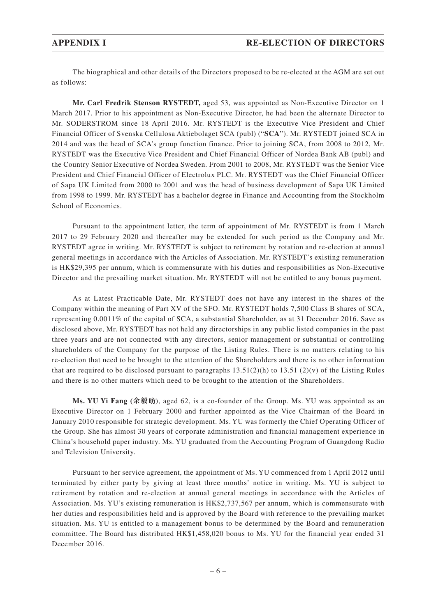The biographical and other details of the Directors proposed to be re-elected at the AGM are set out as follows:

**Mr. Carl Fredrik Stenson RYSTEDT,** aged 53, was appointed as Non-Executive Director on 1 March 2017. Prior to his appointment as Non-Executive Director, he had been the alternate Director to Mr. SODERSTROM since 18 April 2016. Mr. RYSTEDT is the Executive Vice President and Chief Financial Officer of Svenska Cellulosa Aktiebolaget SCA (publ) ("**SCA**"). Mr. RYSTEDT joined SCA in 2014 and was the head of SCA's group function finance. Prior to joining SCA, from 2008 to 2012, Mr. RYSTEDT was the Executive Vice President and Chief Financial Officer of Nordea Bank AB (publ) and the Country Senior Executive of Nordea Sweden. From 2001 to 2008, Mr. RYSTEDT was the Senior Vice President and Chief Financial Officer of Electrolux PLC. Mr. RYSTEDT was the Chief Financial Officer of Sapa UK Limited from 2000 to 2001 and was the head of business development of Sapa UK Limited from 1998 to 1999. Mr. RYSTEDT has a bachelor degree in Finance and Accounting from the Stockholm School of Economics.

Pursuant to the appointment letter, the term of appointment of Mr. RYSTEDT is from 1 March 2017 to 29 February 2020 and thereafter may be extended for such period as the Company and Mr. RYSTEDT agree in writing. Mr. RYSTEDT is subject to retirement by rotation and re-election at annual general meetings in accordance with the Articles of Association. Mr. RYSTEDT's existing remuneration is HK\$29,395 per annum, which is commensurate with his duties and responsibilities as Non-Executive Director and the prevailing market situation. Mr. RYSTEDT will not be entitled to any bonus payment.

As at Latest Practicable Date, Mr. RYSTEDT does not have any interest in the shares of the Company within the meaning of Part XV of the SFO. Mr. RYSTEDT holds 7,500 Class B shares of SCA, representing 0.0011% of the capital of SCA, a substantial Shareholder, as at 31 December 2016. Save as disclosed above, Mr. RYSTEDT has not held any directorships in any public listed companies in the past three years and are not connected with any directors, senior management or substantial or controlling shareholders of the Company for the purpose of the Listing Rules. There is no matters relating to his re-election that need to be brought to the attention of the Shareholders and there is no other information that are required to be disclosed pursuant to paragraphs  $13.51(2)(h)$  to  $13.51(2)(v)$  of the Listing Rules and there is no other matters which need to be brought to the attention of the Shareholders.

**Ms. YU Yi Fang (余毅 )**, aged 62, is a co-founder of the Group. Ms. YU was appointed as an Executive Director on 1 February 2000 and further appointed as the Vice Chairman of the Board in January 2010 responsible for strategic development. Ms. YU was formerly the Chief Operating Officer of the Group. She has almost 30 years of corporate administration and financial management experience in China's household paper industry. Ms. YU graduated from the Accounting Program of Guangdong Radio and Television University.

Pursuant to her service agreement, the appointment of Ms. YU commenced from 1 April 2012 until terminated by either party by giving at least three months' notice in writing. Ms. YU is subject to retirement by rotation and re-election at annual general meetings in accordance with the Articles of Association. Ms. YU's existing remuneration is HK\$2,737,567 per annum, which is commensurate with her duties and responsibilities held and is approved by the Board with reference to the prevailing market situation. Ms. YU is entitled to a management bonus to be determined by the Board and remuneration committee. The Board has distributed HK\$1,458,020 bonus to Ms. YU for the financial year ended 31 December 2016.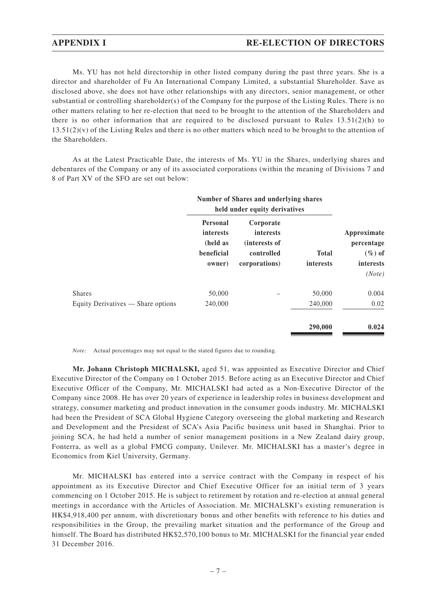Ms. YU has not held directorship in other listed company during the past three years. She is a director and shareholder of Fu An International Company Limited, a substantial Shareholder. Save as disclosed above, she does not have other relationships with any directors, senior management, or other substantial or controlling shareholder(s) of the Company for the purpose of the Listing Rules. There is no other matters relating to her re-election that need to be brought to the attention of the Shareholders and there is no other information that are required to be disclosed pursuant to Rules  $13.51(2)(h)$  to  $13.51(2)(v)$  of the Listing Rules and there is no other matters which need to be brought to the attention of the Shareholders.

As at the Latest Practicable Date, the interests of Ms. YU in the Shares, underlying shares and debentures of the Company or any of its associated corporations (within the meaning of Divisions 7 and 8 of Part XV of the SFO are set out below:

|                                                     | Number of Shares and underlying shares<br>held under equity derivatives |                                                                               |                                  |                                                                      |
|-----------------------------------------------------|-------------------------------------------------------------------------|-------------------------------------------------------------------------------|----------------------------------|----------------------------------------------------------------------|
|                                                     | Personal<br>interests<br>(held as<br>beneficial<br>owner)               | Corporate<br><i>interests</i><br>(interests of<br>controlled<br>corporations) | <b>Total</b><br><i>interests</i> | Approximate<br>percentage<br>$(\%)$ of<br><i>interests</i><br>(Note) |
| <b>Shares</b><br>Equity Derivatives — Share options | 50,000<br>240,000                                                       |                                                                               | 50,000<br>240,000<br>290,000     | 0.004<br>0.02<br>0.024                                               |

*Note:* Actual percentages may not equal to the stated figures due to rounding.

**Mr. Johann Christoph MICHALSKI,** aged 51, was appointed as Executive Director and Chief Executive Director of the Company on 1 October 2015. Before acting as an Executive Director and Chief Executive Officer of the Company, Mr. MICHALSKI had acted as a Non-Executive Director of the Company since 2008. He has over 20 years of experience in leadership roles in business development and strategy, consumer marketing and product innovation in the consumer goods industry. Mr. MICHALSKI had been the President of SCA Global Hygiene Category overseeing the global marketing and Research and Development and the President of SCA's Asia Pacific business unit based in Shanghai. Prior to joining SCA, he had held a number of senior management positions in a New Zealand dairy group, Fonterra, as well as a global FMCG company, Unilever. Mr. MICHALSKI has a master's degree in Economics from Kiel University, Germany.

Mr. MICHALSKI has entered into a service contract with the Company in respect of his appointment as its Executive Director and Chief Executive Officer for an initial term of 3 years commencing on 1 October 2015. He is subject to retirement by rotation and re-election at annual general meetings in accordance with the Articles of Association. Mr. MICHALSKI's existing remuneration is HK\$4,918,400 per annum, with discretionary bonus and other benefits with reference to his duties and responsibilities in the Group, the prevailing market situation and the performance of the Group and himself. The Board has distributed HK\$2,570,100 bonus to Mr. MICHALSKI for the financial year ended 31 December 2016.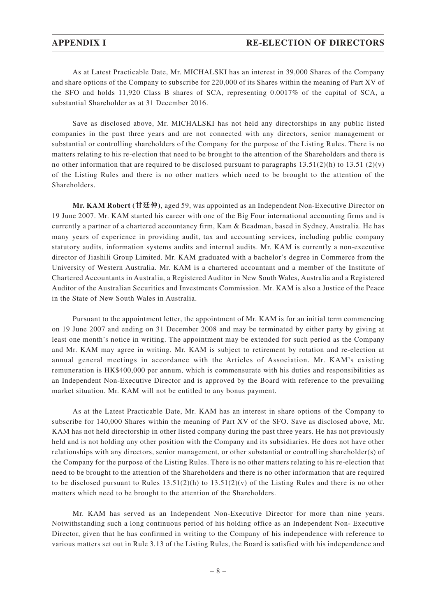As at Latest Practicable Date, Mr. MICHALSKI has an interest in 39,000 Shares of the Company and share options of the Company to subscribe for 220,000 of its Shares within the meaning of Part XV of the SFO and holds 11,920 Class B shares of SCA, representing 0.0017% of the capital of SCA, a substantial Shareholder as at 31 December 2016.

Save as disclosed above, Mr. MICHALSKI has not held any directorships in any public listed companies in the past three years and are not connected with any directors, senior management or substantial or controlling shareholders of the Company for the purpose of the Listing Rules. There is no matters relating to his re-election that need to be brought to the attention of the Shareholders and there is no other information that are required to be disclosed pursuant to paragraphs  $13.51(2)(h)$  to  $13.51(2)(v)$ of the Listing Rules and there is no other matters which need to be brought to the attention of the Shareholders.

**Mr. KAM Robert (甘廷仲)**, aged 59, was appointed as an Independent Non-Executive Director on 19 June 2007. Mr. KAM started his career with one of the Big Four international accounting firms and is currently a partner of a chartered accountancy firm, Kam & Beadman, based in Sydney, Australia. He has many years of experience in providing audit, tax and accounting services, including public company statutory audits, information systems audits and internal audits. Mr. KAM is currently a non-executive director of Jiashili Group Limited. Mr. KAM graduated with a bachelor's degree in Commerce from the University of Western Australia. Mr. KAM is a chartered accountant and a member of the Institute of Chartered Accountants in Australia, a Registered Auditor in New South Wales, Australia and a Registered Auditor of the Australian Securities and Investments Commission. Mr. KAM is also a Justice of the Peace in the State of New South Wales in Australia.

Pursuant to the appointment letter, the appointment of Mr. KAM is for an initial term commencing on 19 June 2007 and ending on 31 December 2008 and may be terminated by either party by giving at least one month's notice in writing. The appointment may be extended for such period as the Company and Mr. KAM may agree in writing. Mr. KAM is subject to retirement by rotation and re-election at annual general meetings in accordance with the Articles of Association. Mr. KAM's existing remuneration is HK\$400,000 per annum, which is commensurate with his duties and responsibilities as an Independent Non-Executive Director and is approved by the Board with reference to the prevailing market situation. Mr. KAM will not be entitled to any bonus payment.

As at the Latest Practicable Date, Mr. KAM has an interest in share options of the Company to subscribe for 140,000 Shares within the meaning of Part XV of the SFO. Save as disclosed above, Mr. KAM has not held directorship in other listed company during the past three years. He has not previously held and is not holding any other position with the Company and its subsidiaries. He does not have other relationships with any directors, senior management, or other substantial or controlling shareholder(s) of the Company for the purpose of the Listing Rules. There is no other matters relating to his re-election that need to be brought to the attention of the Shareholders and there is no other information that are required to be disclosed pursuant to Rules  $13.51(2)(h)$  to  $13.51(2)(v)$  of the Listing Rules and there is no other matters which need to be brought to the attention of the Shareholders.

Mr. KAM has served as an Independent Non-Executive Director for more than nine years. Notwithstanding such a long continuous period of his holding office as an Independent Non- Executive Director, given that he has confirmed in writing to the Company of his independence with reference to various matters set out in Rule 3.13 of the Listing Rules, the Board is satisfied with his independence and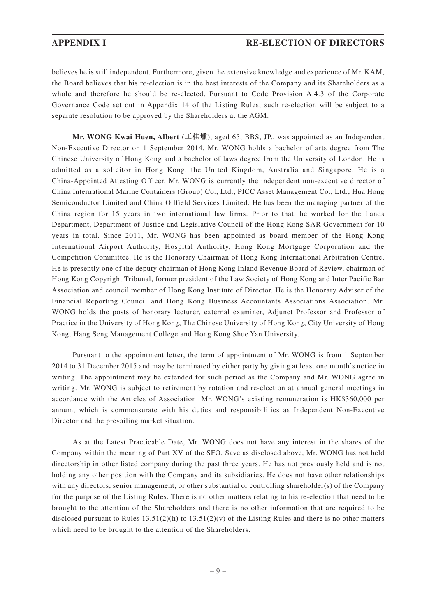believes he is still independent. Furthermore, given the extensive knowledge and experience of Mr. KAM, the Board believes that his re-election is in the best interests of the Company and its Shareholders as a whole and therefore he should be re-elected. Pursuant to Code Provision A.4.3 of the Corporate Governance Code set out in Appendix 14 of the Listing Rules, such re-election will be subject to a separate resolution to be approved by the Shareholders at the AGM.

**Mr. WONG Kwai Huen, Albert (王桂壎)**, aged 65, BBS, JP., was appointed as an Independent Non-Executive Director on 1 September 2014. Mr. WONG holds a bachelor of arts degree from The Chinese University of Hong Kong and a bachelor of laws degree from the University of London. He is admitted as a solicitor in Hong Kong, the United Kingdom, Australia and Singapore. He is a China-Appointed Attesting Officer. Mr. WONG is currently the independent non-executive director of China International Marine Containers (Group) Co., Ltd., PICC Asset Management Co., Ltd., Hua Hong Semiconductor Limited and China Oilfield Services Limited. He has been the managing partner of the China region for 15 years in two international law firms. Prior to that, he worked for the Lands Department, Department of Justice and Legislative Council of the Hong Kong SAR Government for 10 years in total. Since 2011, Mr. WONG has been appointed as board member of the Hong Kong International Airport Authority, Hospital Authority, Hong Kong Mortgage Corporation and the Competition Committee. He is the Honorary Chairman of Hong Kong International Arbitration Centre. He is presently one of the deputy chairman of Hong Kong Inland Revenue Board of Review, chairman of Hong Kong Copyright Tribunal, former president of the Law Society of Hong Kong and Inter Pacific Bar Association and council member of Hong Kong Institute of Director. He is the Honorary Adviser of the Financial Reporting Council and Hong Kong Business Accountants Associations Association. Mr. WONG holds the posts of honorary lecturer, external examiner, Adjunct Professor and Professor of Practice in the University of Hong Kong, The Chinese University of Hong Kong, City University of Hong Kong, Hang Seng Management College and Hong Kong Shue Yan University.

Pursuant to the appointment letter, the term of appointment of Mr. WONG is from 1 September 2014 to 31 December 2015 and may be terminated by either party by giving at least one month's notice in writing. The appointment may be extended for such period as the Company and Mr. WONG agree in writing. Mr. WONG is subject to retirement by rotation and re-election at annual general meetings in accordance with the Articles of Association. Mr. WONG's existing remuneration is HK\$360,000 per annum, which is commensurate with his duties and responsibilities as Independent Non-Executive Director and the prevailing market situation.

As at the Latest Practicable Date, Mr. WONG does not have any interest in the shares of the Company within the meaning of Part XV of the SFO. Save as disclosed above, Mr. WONG has not held directorship in other listed company during the past three years. He has not previously held and is not holding any other position with the Company and its subsidiaries. He does not have other relationships with any directors, senior management, or other substantial or controlling shareholder(s) of the Company for the purpose of the Listing Rules. There is no other matters relating to his re-election that need to be brought to the attention of the Shareholders and there is no other information that are required to be disclosed pursuant to Rules  $13.51(2)(h)$  to  $13.51(2)(v)$  of the Listing Rules and there is no other matters which need to be brought to the attention of the Shareholders.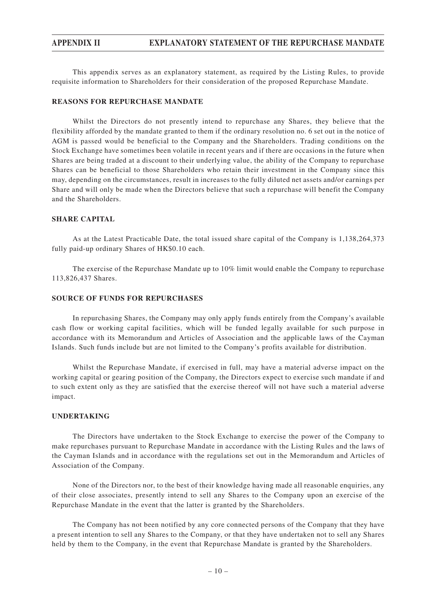This appendix serves as an explanatory statement, as required by the Listing Rules, to provide requisite information to Shareholders for their consideration of the proposed Repurchase Mandate.

#### **REASONS FOR REPURCHASE MANDATE**

Whilst the Directors do not presently intend to repurchase any Shares, they believe that the flexibility afforded by the mandate granted to them if the ordinary resolution no. 6 set out in the notice of AGM is passed would be beneficial to the Company and the Shareholders. Trading conditions on the Stock Exchange have sometimes been volatile in recent years and if there are occasions in the future when Shares are being traded at a discount to their underlying value, the ability of the Company to repurchase Shares can be beneficial to those Shareholders who retain their investment in the Company since this may, depending on the circumstances, result in increases to the fully diluted net assets and/or earnings per Share and will only be made when the Directors believe that such a repurchase will benefit the Company and the Shareholders.

#### **SHARE CAPITAL**

As at the Latest Practicable Date, the total issued share capital of the Company is 1,138,264,373 fully paid-up ordinary Shares of HK\$0.10 each.

The exercise of the Repurchase Mandate up to 10% limit would enable the Company to repurchase 113,826,437 Shares.

#### **SOURCE OF FUNDS FOR REPURCHASES**

In repurchasing Shares, the Company may only apply funds entirely from the Company's available cash flow or working capital facilities, which will be funded legally available for such purpose in accordance with its Memorandum and Articles of Association and the applicable laws of the Cayman Islands. Such funds include but are not limited to the Company's profits available for distribution.

Whilst the Repurchase Mandate, if exercised in full, may have a material adverse impact on the working capital or gearing position of the Company, the Directors expect to exercise such mandate if and to such extent only as they are satisfied that the exercise thereof will not have such a material adverse impact.

#### **UNDERTAKING**

The Directors have undertaken to the Stock Exchange to exercise the power of the Company to make repurchases pursuant to Repurchase Mandate in accordance with the Listing Rules and the laws of the Cayman Islands and in accordance with the regulations set out in the Memorandum and Articles of Association of the Company.

None of the Directors nor, to the best of their knowledge having made all reasonable enquiries, any of their close associates, presently intend to sell any Shares to the Company upon an exercise of the Repurchase Mandate in the event that the latter is granted by the Shareholders.

The Company has not been notified by any core connected persons of the Company that they have a present intention to sell any Shares to the Company, or that they have undertaken not to sell any Shares held by them to the Company, in the event that Repurchase Mandate is granted by the Shareholders.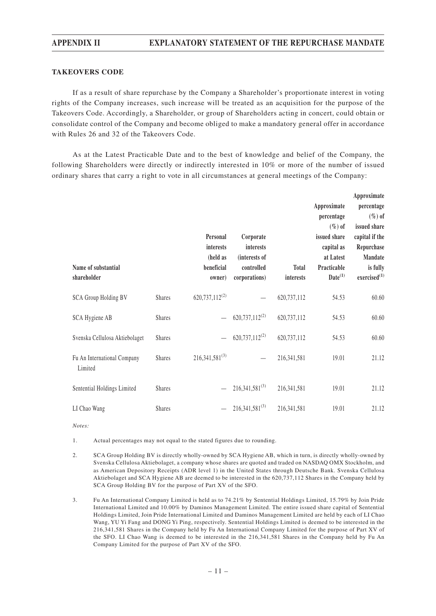## **APPENDIX II EXPLANATORY STATEMENT OF THE REPURCHASE MANDATE**

#### **TAKEOVERS CODE**

If as a result of share repurchase by the Company a Shareholder's proportionate interest in voting rights of the Company increases, such increase will be treated as an acquisition for the purpose of the Takeovers Code. Accordingly, a Shareholder, or group of Shareholders acting in concert, could obtain or consolidate control of the Company and become obliged to make a mandatory general offer in accordance with Rules 26 and 32 of the Takeovers Code.

As at the Latest Practicable Date and to the best of knowledge and belief of the Company, the following Shareholders were directly or indirectly interested in 10% or more of the number of issued ordinary shares that carry a right to vote in all circumstances at general meetings of the Company:

| Name of substantial<br>shareholder     |               | Personal<br>interests<br>(held as<br>beneficial<br>owner) | Corporate<br>interests<br>(interests of<br>controlled<br>corporations) | <b>Total</b><br>interests | Approximate<br>percentage<br>$(\%)$ of<br>issued share<br>capital as<br>at Latest<br>Practicable<br>$Date^{(1)}$ | Approximate<br>percentage<br>$(\%)$ of<br>issued share<br>capital if the<br>Repurchase<br>Mandate<br>is fully<br>exercised <sup>(1)</sup> |
|----------------------------------------|---------------|-----------------------------------------------------------|------------------------------------------------------------------------|---------------------------|------------------------------------------------------------------------------------------------------------------|-------------------------------------------------------------------------------------------------------------------------------------------|
| SCA Group Holding BV                   | Shares        | $620,737,112^{(2)}$                                       |                                                                        | 620,737,112               | 54.53                                                                                                            | 60.60                                                                                                                                     |
| SCA Hygiene AB                         | <b>Shares</b> |                                                           | $620,737,112^{(2)}$                                                    | 620,737,112               | 54.53                                                                                                            | 60.60                                                                                                                                     |
| Svenska Cellulosa Aktiebolaget         | Shares        |                                                           | $620,737,112^{(2)}$                                                    | 620,737,112               | 54.53                                                                                                            | 60.60                                                                                                                                     |
| Fu An International Company<br>Limited | Shares        | $216,341,581^{(3)}$                                       |                                                                        | 216, 341, 581             | 19.01                                                                                                            | 21.12                                                                                                                                     |
| Sentential Holdings Limited            | Shares        |                                                           | $216,341,581^{(3)}$                                                    | 216, 341, 581             | 19.01                                                                                                            | 21.12                                                                                                                                     |
| LI Chao Wang                           | <b>Shares</b> |                                                           | $216,341,581^{(3)}$                                                    | 216, 341, 581             | 19.01                                                                                                            | 21.12                                                                                                                                     |

*Notes:*

1. Actual percentages may not equal to the stated figures due to rounding.

- 2. SCA Group Holding BV is directly wholly-owned by SCA Hygiene AB, which in turn, is directly wholly-owned by Svenska Cellulosa Aktiebolaget, a company whose shares are quoted and traded on NASDAQ OMX Stockholm, and as American Depository Receipts (ADR level 1) in the United States through Deutsche Bank. Svenska Cellulosa Aktiebolaget and SCA Hygiene AB are deemed to be interested in the 620,737,112 Shares in the Company held by SCA Group Holding BV for the purpose of Part XV of the SFO.
- 3. Fu An International Company Limited is held as to 74.21% by Sentential Holdings Limited, 15.79% by Join Pride International Limited and 10.00% by Daminos Management Limited. The entire issued share capital of Sentential Holdings Limited, Join Pride International Limited and Daminos Management Limited are held by each of LI Chao Wang, YU Yi Fang and DONG Yi Ping, respectively. Sentential Holdings Limited is deemed to be interested in the 216,341,581 Shares in the Company held by Fu An International Company Limited for the purpose of Part XV of the SFO. LI Chao Wang is deemed to be interested in the 216,341,581 Shares in the Company held by Fu An Company Limited for the purpose of Part XV of the SFO.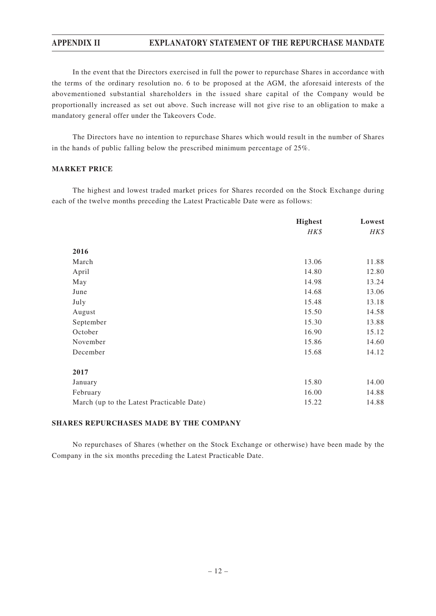## **APPENDIX II EXPLANATORY STATEMENT OF THE REPURCHASE MANDATE**

In the event that the Directors exercised in full the power to repurchase Shares in accordance with the terms of the ordinary resolution no. 6 to be proposed at the AGM, the aforesaid interests of the abovementioned substantial shareholders in the issued share capital of the Company would be proportionally increased as set out above. Such increase will not give rise to an obligation to make a mandatory general offer under the Takeovers Code.

The Directors have no intention to repurchase Shares which would result in the number of Shares in the hands of public falling below the prescribed minimum percentage of 25%.

#### **MARKET PRICE**

The highest and lowest traded market prices for Shares recorded on the Stock Exchange during each of the twelve months preceding the Latest Practicable Date were as follows:

|                                           | <b>Highest</b> | Lowest |  |
|-------------------------------------------|----------------|--------|--|
|                                           | HK\$           | HK\$   |  |
| 2016                                      |                |        |  |
| March                                     | 13.06          | 11.88  |  |
| April                                     | 14.80          | 12.80  |  |
| May                                       | 14.98          | 13.24  |  |
| June                                      | 14.68          | 13.06  |  |
| July                                      | 15.48          | 13.18  |  |
| August                                    | 15.50          | 14.58  |  |
| September                                 | 15.30          | 13.88  |  |
| October                                   | 16.90          | 15.12  |  |
| November                                  | 15.86          | 14.60  |  |
| December                                  | 15.68          | 14.12  |  |
| 2017                                      |                |        |  |
| January                                   | 15.80          | 14.00  |  |
| February                                  | 16.00          | 14.88  |  |
| March (up to the Latest Practicable Date) | 15.22          | 14.88  |  |

#### **SHARES REPURCHASES MADE BY THE COMPANY**

No repurchases of Shares (whether on the Stock Exchange or otherwise) have been made by the Company in the six months preceding the Latest Practicable Date.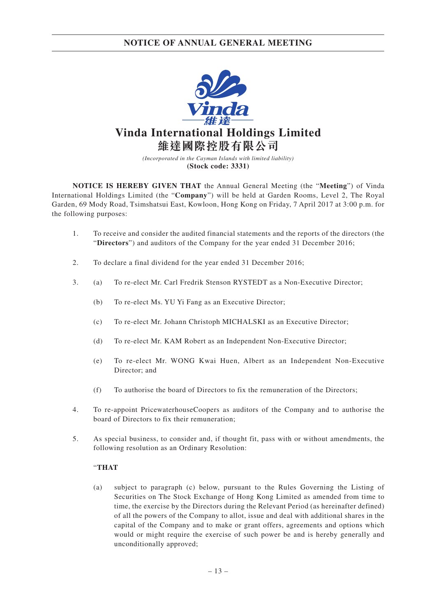

*(Incorporated in the Cayman Islands with limited liability)* **(Stock code: 3331)**

**NOTICE IS HEREBY GIVEN THAT** the Annual General Meeting (the "**Meeting**") of Vinda International Holdings Limited (the "**Company**") will be held at Garden Rooms, Level 2, The Royal Garden, 69 Mody Road, Tsimshatsui East, Kowloon, Hong Kong on Friday, 7 April 2017 at 3:00 p.m. for the following purposes:

- 1. To receive and consider the audited financial statements and the reports of the directors (the "**Directors**") and auditors of the Company for the year ended 31 December 2016;
- 2. To declare a final dividend for the year ended 31 December 2016;
- 3. (a) To re-elect Mr. Carl Fredrik Stenson RYSTEDT as a Non-Executive Director;
	- (b) To re-elect Ms. YU Yi Fang as an Executive Director;
	- (c) To re-elect Mr. Johann Christoph MICHALSKI as an Executive Director;
	- (d) To re-elect Mr. KAM Robert as an Independent Non-Executive Director;
	- (e) To re-elect Mr. WONG Kwai Huen, Albert as an Independent Non-Executive Director; and
	- (f) To authorise the board of Directors to fix the remuneration of the Directors;
- 4. To re-appoint PricewaterhouseCoopers as auditors of the Company and to authorise the board of Directors to fix their remuneration;
- 5. As special business, to consider and, if thought fit, pass with or without amendments, the following resolution as an Ordinary Resolution:

### "**THAT**

(a) subject to paragraph (c) below, pursuant to the Rules Governing the Listing of Securities on The Stock Exchange of Hong Kong Limited as amended from time to time, the exercise by the Directors during the Relevant Period (as hereinafter defined) of all the powers of the Company to allot, issue and deal with additional shares in the capital of the Company and to make or grant offers, agreements and options which would or might require the exercise of such power be and is hereby generally and unconditionally approved;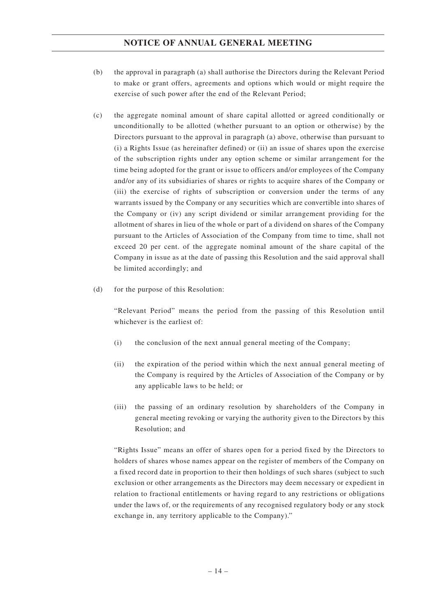## **NOTICE OF ANNUAL GENERAL MEETING**

- (b) the approval in paragraph (a) shall authorise the Directors during the Relevant Period to make or grant offers, agreements and options which would or might require the exercise of such power after the end of the Relevant Period;
- (c) the aggregate nominal amount of share capital allotted or agreed conditionally or unconditionally to be allotted (whether pursuant to an option or otherwise) by the Directors pursuant to the approval in paragraph (a) above, otherwise than pursuant to (i) a Rights Issue (as hereinafter defined) or (ii) an issue of shares upon the exercise of the subscription rights under any option scheme or similar arrangement for the time being adopted for the grant or issue to officers and/or employees of the Company and/or any of its subsidiaries of shares or rights to acquire shares of the Company or (iii) the exercise of rights of subscription or conversion under the terms of any warrants issued by the Company or any securities which are convertible into shares of the Company or (iv) any script dividend or similar arrangement providing for the allotment of shares in lieu of the whole or part of a dividend on shares of the Company pursuant to the Articles of Association of the Company from time to time, shall not exceed 20 per cent. of the aggregate nominal amount of the share capital of the Company in issue as at the date of passing this Resolution and the said approval shall be limited accordingly; and
- (d) for the purpose of this Resolution:

"Relevant Period" means the period from the passing of this Resolution until whichever is the earliest of:

- (i) the conclusion of the next annual general meeting of the Company;
- (ii) the expiration of the period within which the next annual general meeting of the Company is required by the Articles of Association of the Company or by any applicable laws to be held; or
- (iii) the passing of an ordinary resolution by shareholders of the Company in general meeting revoking or varying the authority given to the Directors by this Resolution; and

"Rights Issue" means an offer of shares open for a period fixed by the Directors to holders of shares whose names appear on the register of members of the Company on a fixed record date in proportion to their then holdings of such shares (subject to such exclusion or other arrangements as the Directors may deem necessary or expedient in relation to fractional entitlements or having regard to any restrictions or obligations under the laws of, or the requirements of any recognised regulatory body or any stock exchange in, any territory applicable to the Company)."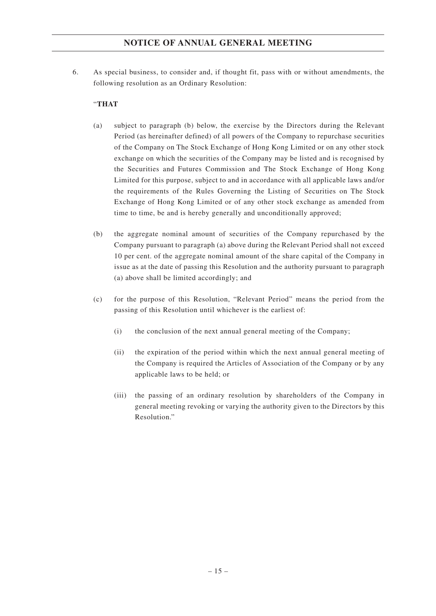## **NOTICE OF ANNUAL GENERAL MEETING**

6. As special business, to consider and, if thought fit, pass with or without amendments, the following resolution as an Ordinary Resolution:

### "**THAT**

- (a) subject to paragraph (b) below, the exercise by the Directors during the Relevant Period (as hereinafter defined) of all powers of the Company to repurchase securities of the Company on The Stock Exchange of Hong Kong Limited or on any other stock exchange on which the securities of the Company may be listed and is recognised by the Securities and Futures Commission and The Stock Exchange of Hong Kong Limited for this purpose, subject to and in accordance with all applicable laws and/or the requirements of the Rules Governing the Listing of Securities on The Stock Exchange of Hong Kong Limited or of any other stock exchange as amended from time to time, be and is hereby generally and unconditionally approved;
- (b) the aggregate nominal amount of securities of the Company repurchased by the Company pursuant to paragraph (a) above during the Relevant Period shall not exceed 10 per cent. of the aggregate nominal amount of the share capital of the Company in issue as at the date of passing this Resolution and the authority pursuant to paragraph (a) above shall be limited accordingly; and
- (c) for the purpose of this Resolution, "Relevant Period" means the period from the passing of this Resolution until whichever is the earliest of:
	- (i) the conclusion of the next annual general meeting of the Company;
	- (ii) the expiration of the period within which the next annual general meeting of the Company is required the Articles of Association of the Company or by any applicable laws to be held; or
	- (iii) the passing of an ordinary resolution by shareholders of the Company in general meeting revoking or varying the authority given to the Directors by this Resolution."